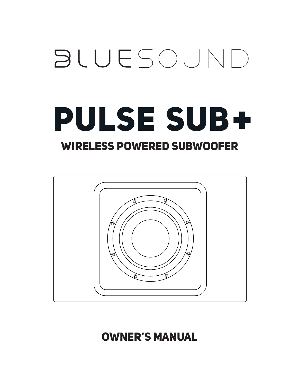# **BLUESOUND PULSE SUB+**

## WIRELESS POWERED SUBWOOFER



## OWNER'S MANUAL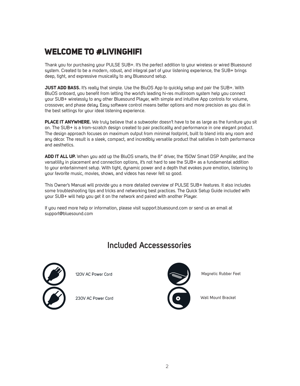## WELCOME TO #LIVINGHIFI

Thank you for purchasing your PULSE SUB+. It's the perfect addition to your wireless or wired Bluesound system. Created to be a modern, robust, and integral part of your listening experience, the SUB+ brings deep, tight, and expressive musicality to any Bluesound setup.

**JUST ADD BASS.** It's really that simple. Use the BluOS App to quickly setup and pair the SUB+. With BluOS onboard, you benefit from letting the world's leading hi-res multiroom system help you connect your SUB+ wirelessly to any other Bluesound Player, with simple and intuitive App controls for volume, crossover, and phase delay. Easy software control means better options and more precision as you dial in the best settings for your ideal listening experience.

**PLACE IT ANYWHERE.** We truly believe that a subwoofer doesn't have to be as large as the furniture you sit on. The SUB+ is a from-scratch design created to pair practicality and performance in one elegant product. The design approach focuses on maximum output from minimal footprint, built to blend into any room and any décor. The result is a sleek, compact, and incredibly versatile product that satisfies in both performance and aesthetics.

**ADD IT ALL UP.** When you add up the BluOS smarts, the 8" driver, the 150W Smart DSP Amplifer, and the versatility in placement and connection options, it's not hard to see the SUB+ as a fundamental addition to your entertainment setup. With tight, dynamic power and a depth that evokes pure emotion, listening to your favorite music, movies, shows, and videos has never felt so good.

This Owner's Manual will provide you a more detailed overview of PULSE SUB+ features. It also includes some troubleshooting tips and tricks and networking best practices. The Quick Setup Guide included with your SUB+ will help you get it on the network and paired with another Player.

If you need more help or information, please visit support.bluesound.com or send us an email at support@bluesound.com

### **Included Accessessories**



120V AC Power Cord

230V AC Power Cord



Magnetic Rubber Feet

Wall Mount Bracket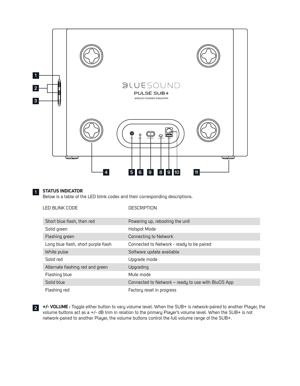

#### **1 STATUS INDICATOR**

Below is a table of the LED blink codes and their corresponding descriptions.

| <b>LED BLINK CODE</b>               | <b>DESCRIPTION</b>                                 |
|-------------------------------------|----------------------------------------------------|
| Short blue flash, then red          | Powering up, rebooting the unit                    |
| Solid green                         | Hotspot Mode                                       |
| Flashing green                      | Connecting to Network                              |
| Long blue flash, short purple flash | Connected to Network - ready to be paired          |
| White pulse                         | Software update available                          |
| Solid red                           | Upgrade mode                                       |
| Alternate flashing red and green    | Upgrading                                          |
| Flashing blue                       | Mute mode                                          |
| Solid blue                          | Connected to Network – ready to use with BluOS App |
| Flashing red                        | Factory reset in progress                          |
|                                     |                                                    |

**+/- VOLUME :** Toggle either button to vary volume level. When the SUB+ is network-paired to another Player, the **2**volume buttons act as a +/- dB trim in relation to the primary Player's volume level. When the SUB+ is not network-paired to another Player, the volume buttons control the full volume range of the SUB+.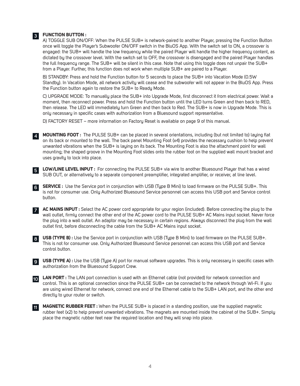#### **FUNCTION BUTTON : 3**

A) TOGGLE SUB ON/OFF: When the PULSE SUB+ is network-paired to another Player, pressing the Function Button once will toggle the Player's Subwoofer ON/OFF switch in the BluOS App. With the switch set to ON, a crossover is engaged: the SUB+ will handle the low frequency while the paired Player will handle the higher frequency content, as dictated by the crossover level. With the switch set to OFF, the crossover is disengaged and the paired Player handles the full frequency range. The SUB+ will be silent in this case. Note that using this toggle does not unpair the SUB+ from a Player. Further, this function does not work when multiple SUB+ are paired to a Player.

B) STANDBY: Press and hold the Function button for 5 seconds to place the SUB+ into Vacation Mode (0.5W Standby). In Vacation Mode, all network activity will cease and the subwoofer will not appear in the BluOS App. Press the Function button again to restore the SUB+ to Ready Mode.

C) UPGRADE MODE: To manually place the SUB+ into Upgrade Mode, first disconnect it from electrical power. Wait a moment, then reconnect power. Press and hold the Function button until the LED turns Green and then back to RED, then release. The LED will immediately turn Green and then back to Red. The SUB+ is now in Upgrade Mode. This is only necessary in specific cases with authorization from a Bluesound support representative.

D) FACTORY RESET – more information on Factory Reset is available on page 9 of this manual.

**MOUNTING FOOT :** The PULSE SUB+ can be placed in several orientations, including (but not limited to) laying flat on its back or mounted to the wall. The back panel Mounting Foot (x4) provides the necessary cushion to help prevent unwanted vibrations when the SUB+ is laying on its back. The Mounting Foot is also the attachment point for wall mounting; the shaped groove in the Mounting Foot slides onto the rubber foot on the supplied wall mount bracket and uses gravity to lock into place. **4**

**LOW/LINE LEVEL INPUT :** For connecting the PULSE SUB+ via wire to another Bluesound Player that has a wired SUB OUT, or alternatively to a separate component preamplifier, integrated amplifier, or receiver, at line level. **5**

**SERVICE :** Use the Service port in conjunction with USB (Type B Mini) to load firmware on the PULSE SUB+. This is not for consumer use. Only Authorized Bluesound Service personnel can access this USB port and Service control button. **6**

**AC MAINS INPUT :** Select the AC power cord appropriate for your region (included). Before connecting the plug to the wall outlet, firmly connect the other end of the AC power cord to the PULSE SUB+ AC Mains input socket. Never force the plug into a wall outlet. An adaptor may be necessary in certain regions. Always disconnect the plug from the wall outlet first, before disconnecting the cable from the SUB+ AC Mains input socket. **7**

**USB (TYPE B) :** Use the Service port in conjunction with USB (Type B Mini) to load firmware on the PULSE SUB+. **8** This is not for consumer use. Only Authorized Bluesound Service personnel can access this USB port and Service control button.

**USB (TYPE A) :** Use the USB (Type A) port for manual software upgrades. This is only necessary in specific cases with **9** authorization from the Bluesound Support Crew.

**LAN PORT :** The LAN port connection is used with an Ethernet cable (not provided) for network connection and **10** control. This is an optional connection since the PULSE SUB+ can be connected to the network through Wi-Fi. If you are using wired Ethernet for network, connect one end of the Ethernet cable to the SUB+ LAN port, and the other end directly to your router or switch.

**MAGNETIC RUBBER FEET :** When the PULSE SUB+ is placed in a standing position, use the supplied magnetic rubber feet (x2) to help prevent unwanted vibrations. The magnets are mounted inside the cabinet of the SUB+. Simply place the magnetic rubber feet near the required location and they will snap into place. **11**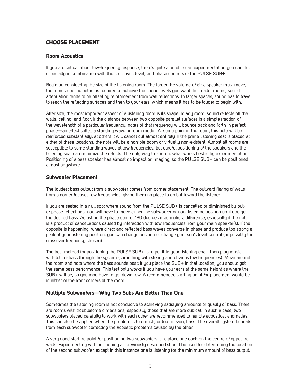#### CHOOSE PLACEMENT

#### **Room Acoustics**

If you are critical about low-frequency response, there's quite a bit of useful experimentation you can do, especially in combination with the crossover, level, and phase controls of the PULSE SUB+.

Begin by considering the size of the listening room. The larger the volume of air a speaker must move, the more acoustic output is required to achieve the sound levels you want. In smaller rooms, sound attenuation tends to be offset by reinforcement from wall reflections. In larger spaces, sound has to travel to reach the reflecting surfaces and then to your ears, which means it has to be louder to begin with.

After size, the most important aspect of a listening room is its shape. In any room, sound reflects off the walls, ceiling, and floor. If the distance between two opposite parallel surfaces is a simple fraction of the wavelength of a particular frequency, notes of that frequency will bounce back and forth in perfect phase—an effect called a standing wave or room mode. At some point in the room, this note will be reinforced substantially; at others it will cancel out almost entirely. If the prime listening seat is placed at either of these locations, the note will be a horrible boom or virtually non-existent. Almost all rooms are susceptible to some standing waves at low frequencies, but careful positioning of the speakers and the listening seat can minimize the effects. The only way to find out what works best is by experimentation. Positioning of a bass speaker has almost no impact on imaging, so the PULSE SUB+ can be positioned almost anywhere.

#### **Subwoofer Placement**

The loudest bass output from a subwoofer comes from corner placement. The outward flaring of walls from a corner focuses low frequencies, giving them no place to go but toward the listener.

If you are seated in a null spot where sound from the PULSE SUB+ is cancelled or diminished by outof-phase reflections, you will have to move either the subwoofer or your listening position until you get the desired bass. Adjusting the phase control 180 degrees may make a difference, especially if the null is a product of cancellations caused by interaction with low frequencies from your main speaker(s). If the opposite is happening, where direct and reflected bass waves converge in phase and produce too strong a peak at your listening position, you can change position or change your sub's level control (or possibly the crossover frequency chosen).

The best method for positioning the PULSE SUB+ is to put it in your listening chair, then play music with lots of bass through the system (something with steady and obvious low frequencies). Move around the room and note where the bass sounds best; if you place the SUB+ in that location, you should get the same bass performance. This test only works if you have your ears at the same height as where the SUB+ will be, so you may have to get down low. A recommended starting point for placement would be in either of the front corners of the room.

#### **Multiple Subwoofers—Why Two Subs Are Better Than One**

Sometimes the listening room is not conducive to achieving satisfying amounts or quality of bass. There are rooms with troublesome dimensions, especially those that are more cubical. In such a case, two subwoofers placed carefully to work with each other are recommended to handle acoustical anomalies. This can also be applied when the problem is too much, or too uneven, bass. The overall system benefits from each subwoofer correcting the acoustic problems caused by the other.

A very good starting point for positioning two subwoofers is to place one each on the centre of opposing walls. Experimenting with positioning as previously described should be used for determining the location of the second subwoofer, except in this instance one is listening for the minimum amount of bass output.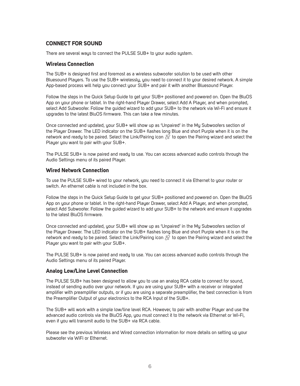#### **CONNECT FOR SOUND**

There are several ways to connect the PULSE SUB+ to your audio system.

#### **Wireless Connection**

The SUB+ is designed first and foremost as a wireless subwoofer solution to be used with other Bluesound Players. To use the SUB+ wirelessly, you need to connect it to your desired network. A simple App-based process will help you connect your SUB+ and pair it with another Bluesound Player.

Follow the steps in the Quick Setup Guide to get your SUB+ positioned and powered on. Open the BluOS App on your phone or tablet. In the right-hand Player Drawer, select Add A Player, and when prompted, select Add Subwoofer. Follow the guided wizard to add your SUB+ to the network via Wi-Fi and ensure it upgrades to the latest BluOS firmware. This can take a few minutes.

Once connected and updated, your SUB+ will show up as 'Unpaired' in the My Subwoofers section of the Player Drawer. The LED indicator on the SUB+ flashes long Blue and short Purple when it is on the network and ready to be paired. Select the Link/Pairing icon  $\mathcal{Z}$  to open the Pairing wizard and select the Player you want to pair with your SUB+.

The PULSE SUB+ is now paired and ready to use. You can access advanced audio controls through the Audio Settings menu of its paired Player.

#### **Wired Network Connection**

To use the PULSE SUB+ wired to your network, you need to connect it via Ethernet to your router or switch. An ethernet cable is not included in the box.

Follow the steps in the Quick Setup Guide to get your SUB+ positioned and powered on. Open the BluOS App on your phone or tablet. In the right-hand Player Drawer, select Add A Player, and when prompted, select Add Subwoofer. Follow the guided wizard to add your SUB+ to the network and ensure it upgrades to the latest BluOS firmware.

Once connected and updated, your SUB+ will show up as 'Unpaired' in the My Subwoofers section of the Player Drawer. The LED indicator on the SUB+ flashes long Blue and short Purple when it is on the network and ready to be paired. Select the Link/Pairing icon  $\mathcal{R}$  to open the Pairing wizard and select the Player you want to pair with your SUB+.

The PULSE SUB+ is now paired and ready to use. You can access advanced audio controls through the Audio Settings menu of its paired Player.

#### **Analog Low/Line Level Connection**

The PULSE SUB+ has been designed to allow you to use an analog RCA cable to connect for sound, instead of sending audio over your network. If you are using your SUB+ with a receiver or integrated amplifier with preamplifier outputs, or if you are using a separate preamplifier, the best connection is from the Preamplifier Output of your electronics to the RCA Input of the SUB+.

The SUB+ will work with a simple low/line level RCA. However, to pair with another Player and use the advanced audio controls via the BluOS App, you must connect it to the network via Ethernet or Wi-Fi, even if you will transmit audio to the SUB+ via RCA cable.

Please see the previous Wireless and Wired connection information for more details on setting up your subwoofer via WiFi or Ethernet.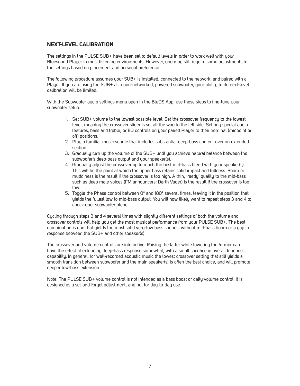#### **NEXT-LEVEL CALIBRATION**

The settings in the PULSE SUB+ have been set to default levels in order to work well with your Bluesound Player in most listening environments. However, you may still require some adjustments to the settings based on placement and personal preference.

The following procedure assumes your SUB+ is installed, connected to the network, and paired with a Player. If you are using the SUB+ as a non-networked, powered subwoofer, your ability to do next-level calibration will be limited.

With the Subwoofer audio settings menu open in the BluOS App, use these steps to fine-tune your subwoofer setup.

- 1. Set SUB+ volume to the lowest possible level. Set the crossover frequency to the lowest level, meaning the crossover slider is set all the way to the left side. Set any special audio features, bass and treble, or EQ controls on your paired Player to their nominal (midpoint or off) positions.
- 2. Play a familiar music source that includes substantial deep-bass content over an extended section.
- 3. Gradually turn up the volume of the SUB+ until you achieve natural balance between the subwoofer's deep-bass output and your speaker(s).
- 4. Gradually adjust the crossover up to reach the best mid-bass blend with your speaker(s). This will be the point at which the upper bass retains solid impact and fullness. Boom or muddiness is the result if the crossover is too high. A thin, 'reedy' quality to the mid-bass such as deep male voices (FM announcers; Darth Vader) is the result if the crossover is too low.
- 5. Toggle the Phase control between 0° and 180° several times, leaving it in the position that yields the fullest low to mid-bass output. You will now likely want to repeat steps 3 and 4 to check your subwoofer blend.

Cycling through steps 3 and 4 several times with slightly different settings of both the volume and crossover controls will help you get the most musical performance from your PULSE SUB+. The best combination is one that yields the most solid very-low bass sounds, without mid-bass boom or a gap in response between the SUB+ and other speaker(s).

The crossover and volume controls are interactive. Raising the latter while lowering the former can have the effect of extending deep-bass response somewhat, with a small sacrifice in overall loudness capability. In general, for well-recorded acoustic music the lowest crossover setting that still yields a smooth transition between subwoofer and the main speaker(s) is often the best choice, and will promote deeper low-bass extension.

Note: The PULSE SUB+ volume control is not intended as a bass boost or daily volume control. It is designed as a set-and-forget adjustment, and not for day-to-day use.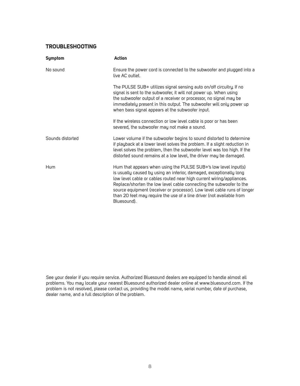#### **TROUBLESHOOTING**

| <b>Symptom</b>   | <b>Action</b>                                                                                                                                                                                                                                                                                                                                                                                                                                              |
|------------------|------------------------------------------------------------------------------------------------------------------------------------------------------------------------------------------------------------------------------------------------------------------------------------------------------------------------------------------------------------------------------------------------------------------------------------------------------------|
| No sound         | Ensure the power cord is connected to the subwoofer and plugged into a<br>live AC outlet.                                                                                                                                                                                                                                                                                                                                                                  |
|                  | The PULSE SUB+ utilizes signal sensing auto on/off circuitry. If no<br>signal is sent to the subwoofer, it will not power up. When using<br>the subwoofer output of a receiver or processor, no signal may be<br>immediately present in this output. The subwoofer will only power up<br>when bass signal appears at the subwoofer input.                                                                                                                  |
|                  | If the wireless connection or low level cable is poor or has been<br>severed, the subwoofer may not make a sound.                                                                                                                                                                                                                                                                                                                                          |
| Sounds distorted | Lower volume if the subwoofer begins to sound distorted to determine<br>if playback at a lower level solves the problem. If a slight reduction in<br>level solves the problem, then the subwoofer level was too high. If the<br>distorted sound remains at a low level, the driver may be damaged.                                                                                                                                                         |
| Hum              | Hum that appears when using the PULSE SUB+'s low level input(s)<br>is usually caused by using an inferior, damaged, exceptionally long<br>low level cable or cables routed near high current wiring/appliances.<br>Replace/shorten the low level cable connecting the subwoofer to the<br>source equipment (receiver or processor). Low level cable runs of longer<br>than 20 feet may require the use of a line driver (not available from<br>Bluesound). |

See your dealer if you require service. Authorized Bluesound dealers are equipped to handle almost all problems. You may locate your nearest Bluesound authorized dealer online at www.bluesound.com. If the problem is not resolved, please contact us, providing the model name, serial number, date of purchase, dealer name, and a full description of the problem.